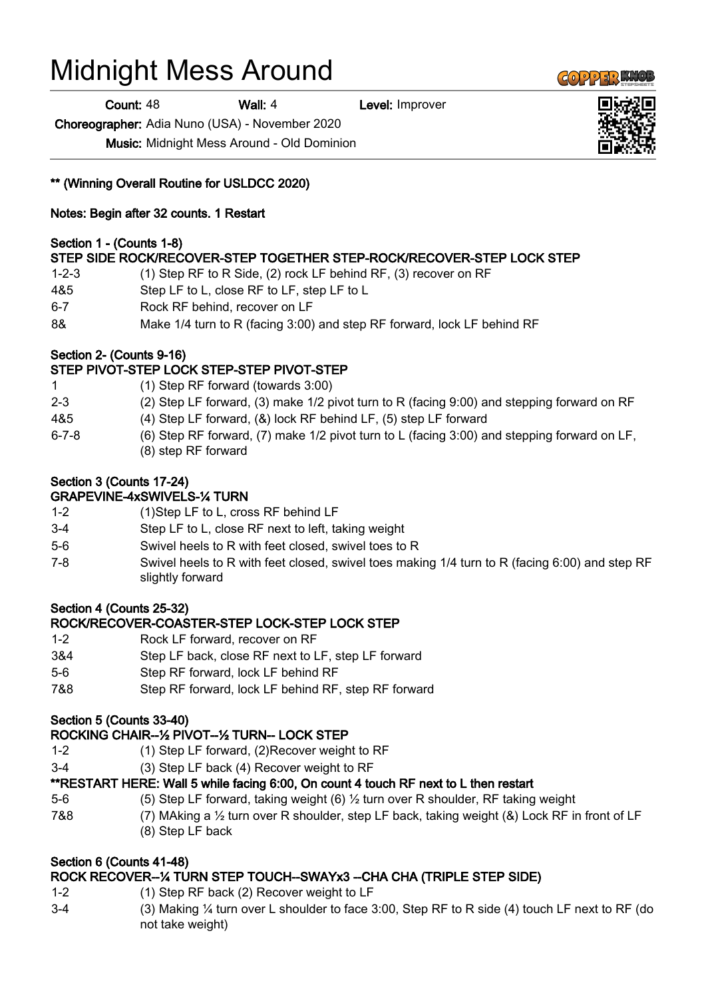# Midnight Mess Around

**Count: 48 Wall: 4 Level: Improver** 

Choreographer: Adia Nuno (USA) - November 2020

Music: Midnight Mess Around - Old Dominion

\*\* (Winning Overall Routine for USLDCC 2020)

Notes: Begin after 32 counts. 1 Restart

## Section 1 - (Counts 1-8)

# STEP SIDE ROCK/RECOVER-STEP TOGETHER STEP-ROCK/RECOVER-STEP LOCK STEP

- 1-2-3 (1) Step RF to R Side, (2) rock LF behind RF, (3) recover on RF
- 4&5 Step LF to L, close RF to LF, step LF to L
- 6-7 Rock RF behind, recover on LF
- 8& Make 1/4 turn to R (facing 3:00) and step RF forward, lock LF behind RF

## Section 2- (Counts 9-16)

# STEP PIVOT-STEP LOCK STEP-STEP PIVOT-STEP

- 1 (1) Step RF forward (towards 3:00)
- 2-3 (2) Step LF forward, (3) make 1/2 pivot turn to R (facing 9:00) and stepping forward on RF
- 4&5 (4) Step LF forward, (&) lock RF behind LF, (5) step LF forward
- 6-7-8 (6) Step RF forward, (7) make 1/2 pivot turn to L (facing 3:00) and stepping forward on LF, (8) step RF forward

## Section 3 (Counts 17-24)

#### GRAPEVINE-4xSWIVELS-¼ TURN

- 1-2 (1)Step LF to L, cross RF behind LF
- 3-4 Step LF to L, close RF next to left, taking weight
- 5-6 Swivel heels to R with feet closed, swivel toes to R
- 7-8 Swivel heels to R with feet closed, swivel toes making 1/4 turn to R (facing 6:00) and step RF slightly forward

## Section 4 (Counts 25-32)

# ROCK/RECOVER-COASTER-STEP LOCK-STEP LOCK STEP

- 1-2 Rock LF forward, recover on RF
- 3&4 Step LF back, close RF next to LF, step LF forward
- 5-6 Step RF forward, lock LF behind RF
- 7&8 Step RF forward, lock LF behind RF, step RF forward

## Section 5 (Counts 33-40)

## ROCKING CHAIR--½ PIVOT--½ TURN-- LOCK STEP

- 1-2 (1) Step LF forward, (2)Recover weight to RF
- 3-4 (3) Step LF back (4) Recover weight to RF

## \*\*RESTART HERE: Wall 5 while facing 6:00, On count 4 touch RF next to L then restart

- 5-6 (5) Step LF forward, taking weight (6) ½ turn over R shoulder, RF taking weight
- 7&8 (7) MAking a ½ turn over R shoulder, step LF back, taking weight (&) Lock RF in front of LF (8) Step LF back

## Section 6 (Counts 41-48)

# ROCK RECOVER--¼ TURN STEP TOUCH--SWAYx3 --CHA CHA (TRIPLE STEP SIDE)

- 1-2 (1) Step RF back (2) Recover weight to LF
- 3-4 (3) Making ¼ turn over L shoulder to face 3:00, Step RF to R side (4) touch LF next to RF (do not take weight)